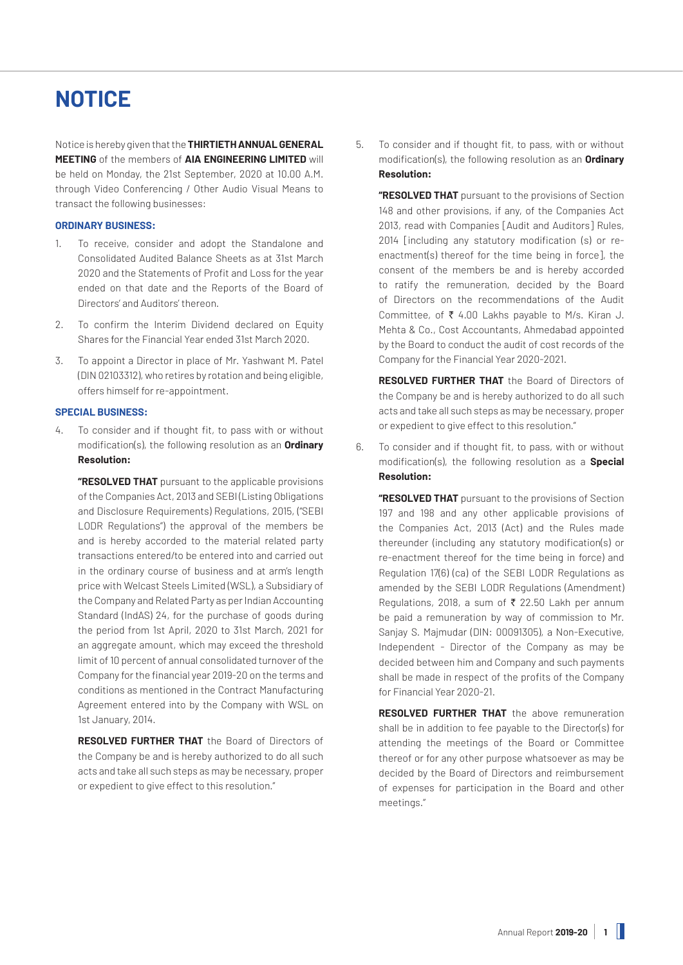# **NOTICE**

Notice is hereby given that the **THIRTIETH ANNUAL GENERAL MEETING** of the members of **AIA ENGINEERING LIMITED** will be held on Monday, the 21st September, 2020 at 10.00 A.M. through Video Conferencing / Other Audio Visual Means to transact the following businesses:

## **ORDINARY BUSINESS:**

- 1. To receive, consider and adopt the Standalone and Consolidated Audited Balance Sheets as at 31st March 2020 and the Statements of Profit and Loss for the year ended on that date and the Reports of the Board of Directors' and Auditors' thereon.
- 2. To confirm the Interim Dividend declared on Equity Shares for the Financial Year ended 31st March 2020.
- 3. To appoint a Director in place of Mr. Yashwant M. Patel (DIN 02103312), who retires by rotation and being eligible, offers himself for re-appointment.

## **SPECIAL BUSINESS:**

4. To consider and if thought fit, to pass with or without modification(s), the following resolution as an **Ordinary Resolution:**

**"RESOLVED THAT** pursuant to the applicable provisions of the Companies Act, 2013 and SEBI (Listing Obligations and Disclosure Requirements) Regulations, 2015, ("SEBI LODR Regulations") the approval of the members be and is hereby accorded to the material related party transactions entered/to be entered into and carried out in the ordinary course of business and at arm's length price with Welcast Steels Limited (WSL), a Subsidiary of the Company and Related Party as per Indian Accounting Standard (IndAS) 24, for the purchase of goods during the period from 1st April, 2020 to 31st March, 2021 for an aggregate amount, which may exceed the threshold limit of 10 percent of annual consolidated turnover of the Company for the financial year 2019-20 on the terms and conditions as mentioned in the Contract Manufacturing Agreement entered into by the Company with WSL on 1st January, 2014.

**RESOLVED FURTHER THAT** the Board of Directors of the Company be and is hereby authorized to do all such acts and take all such steps as may be necessary, proper or expedient to give effect to this resolution."

5. To consider and if thought fit, to pass, with or without modification(s), the following resolution as an **Ordinary Resolution:**

**"RESOLVED THAT** pursuant to the provisions of Section 148 and other provisions, if any, of the Companies Act 2013, read with Companies [Audit and Auditors] Rules, 2014 [including any statutory modification (s) or reenactment(s) thereof for the time being in force], the consent of the members be and is hereby accorded to ratify the remuneration, decided by the Board of Directors on the recommendations of the Audit Committee, of  $\bar{\tau}$  4.00 Lakhs payable to M/s. Kiran J. Mehta & Co., Cost Accountants, Ahmedabad appointed by the Board to conduct the audit of cost records of the Company for the Financial Year 2020-2021.

**RESOLVED FURTHER THAT** the Board of Directors of the Company be and is hereby authorized to do all such acts and take all such steps as may be necessary, proper or expedient to give effect to this resolution."

6. To consider and if thought fit, to pass, with or without modification(s), the following resolution as a **Special Resolution:**

**"RESOLVED THAT** pursuant to the provisions of Section 197 and 198 and any other applicable provisions of the Companies Act, 2013 (Act) and the Rules made thereunder (including any statutory modification(s) or re-enactment thereof for the time being in force) and Regulation 17(6) (ca) of the SEBI LODR Regulations as amended by the SEBI LODR Regulations (Amendment) Regulations, 2018, a sum of  $\bar{\tau}$  22.50 Lakh per annum be paid a remuneration by way of commission to Mr. Sanjay S. Majmudar (DIN: 00091305), a Non-Executive, Independent - Director of the Company as may be decided between him and Company and such payments shall be made in respect of the profits of the Company for Financial Year 2020-21.

**RESOLVED FURTHER THAT** the above remuneration shall be in addition to fee payable to the Director(s) for attending the meetings of the Board or Committee thereof or for any other purpose whatsoever as may be decided by the Board of Directors and reimbursement of expenses for participation in the Board and other meetings."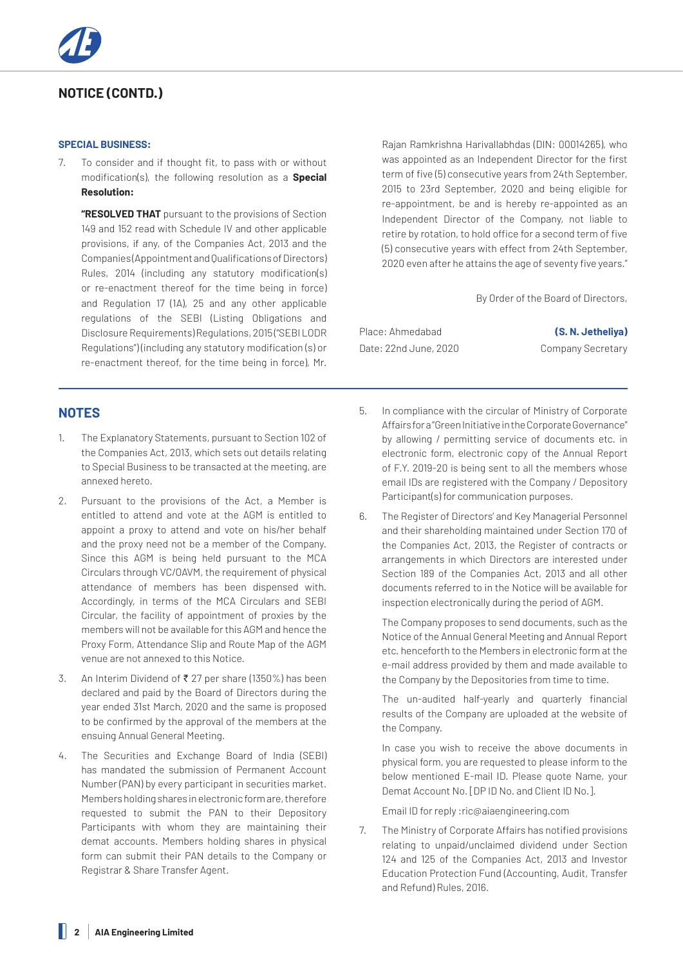## **NOTICE (CONTD.)**

## **SPECIAL BUSINESS:**

7. To consider and if thought fit, to pass with or without modification(s), the following resolution as a **Special Resolution:**

**"RESOLVED THAT** pursuant to the provisions of Section 149 and 152 read with Schedule IV and other applicable provisions, if any, of the Companies Act, 2013 and the Companies (Appointment and Qualifications of Directors) Rules, 2014 (including any statutory modification(s) or re-enactment thereof for the time being in force) and Regulation 17 (1A), 25 and any other applicable regulations of the SEBI (Listing Obligations and Disclosure Requirements) Regulations, 2015 ("SEBI LODR Regulations") (including any statutory modification (s) or re-enactment thereof, for the time being in force), Mr.

## **NOTES**

- 1. The Explanatory Statements, pursuant to Section 102 of the Companies Act, 2013, which sets out details relating to Special Business to be transacted at the meeting, are annexed hereto.
- 2. Pursuant to the provisions of the Act, a Member is entitled to attend and vote at the AGM is entitled to appoint a proxy to attend and vote on his/her behalf and the proxy need not be a member of the Company. Since this AGM is being held pursuant to the MCA Circulars through VC/OAVM, the requirement of physical attendance of members has been dispensed with. Accordingly, in terms of the MCA Circulars and SEBI Circular, the facility of appointment of proxies by the members will not be available for this AGM and hence the Proxy Form, Attendance Slip and Route Map of the AGM venue are not annexed to this Notice.
- 3. An Interim Dividend of  $\bar{\bar{\xi}}$  27 per share (1350%) has been declared and paid by the Board of Directors during the year ended 31st March, 2020 and the same is proposed to be confirmed by the approval of the members at the ensuing Annual General Meeting.
- 4. The Securities and Exchange Board of India (SEBI) has mandated the submission of Permanent Account Number (PAN) by every participant in securities market. Members holding shares in electronic form are, therefore requested to submit the PAN to their Depository Participants with whom they are maintaining their demat accounts. Members holding shares in physical form can submit their PAN details to the Company or Registrar & Share Transfer Agent.

Rajan Ramkrishna Harivallabhdas (DIN: 00014265), who was appointed as an Independent Director for the first term of five (5) consecutive years from 24th September, 2015 to 23rd September, 2020 and being eligible for re-appointment, be and is hereby re-appointed as an Independent Director of the Company, not liable to retire by rotation, to hold office for a second term of five (5) consecutive years with effect from 24th September, 2020 even after he attains the age of seventy five years."

By Order of the Board of Directors,

Place: Ahmedabad **(S. N. Jetheliya)** Date: 22nd June, 2020 Company Secretary

- 5. In compliance with the circular of Ministry of Corporate Affairs for a "Green Initiative in the Corporate Governance" by allowing / permitting service of documents etc. in electronic form, electronic copy of the Annual Report of F.Y. 2019-20 is being sent to all the members whose email IDs are registered with the Company / Depository Participant(s) for communication purposes.
- 6. The Register of Directors' and Key Managerial Personnel and their shareholding maintained under Section 170 of the Companies Act, 2013, the Register of contracts or arrangements in which Directors are interested under Section 189 of the Companies Act, 2013 and all other documents referred to in the Notice will be available for inspection electronically during the period of AGM.

The Company proposes to send documents, such as the Notice of the Annual General Meeting and Annual Report etc. henceforth to the Members in electronic form at the e-mail address provided by them and made available to the Company by the Depositories from time to time.

The un-audited half-yearly and quarterly financial results of the Company are uploaded at the website of the Company.

In case you wish to receive the above documents in physical form, you are requested to please inform to the below mentioned E-mail ID. Please quote Name, your Demat Account No. [DP ID No. and Client ID No.].

Email ID for reply :ric@aiaengineering.com

7. The Ministry of Corporate Affairs has notified provisions relating to unpaid/unclaimed dividend under Section 124 and 125 of the Companies Act, 2013 and Investor Education Protection Fund (Accounting, Audit, Transfer and Refund) Rules, 2016.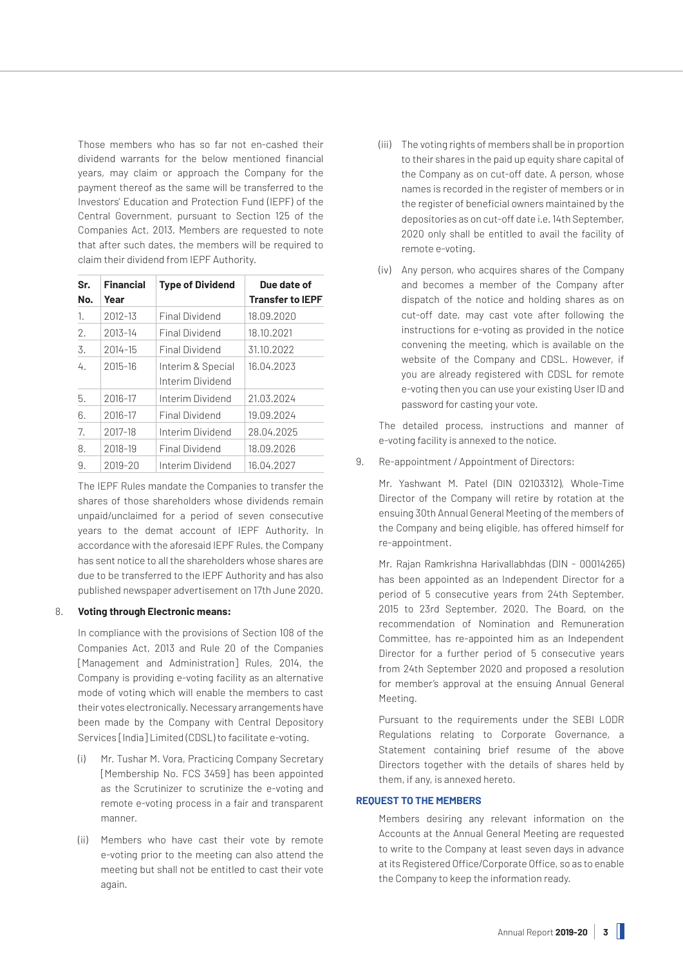Those members who has so far not en-cashed their dividend warrants for the below mentioned financial years, may claim or approach the Company for the payment thereof as the same will be transferred to the Investors' Education and Protection Fund (IEPF) of the Central Government, pursuant to Section 125 of the Companies Act, 2013. Members are requested to note that after such dates, the members will be required to claim their dividend from IEPF Authority.

| Sr.<br>No. | <b>Financial</b><br>Year | <b>Type of Dividend</b>               | Due date of<br><b>Transfer to IEPF</b> |
|------------|--------------------------|---------------------------------------|----------------------------------------|
| 1.         | 2012-13                  | <b>Final Dividend</b>                 | 18.09.2020                             |
| 2.         | 2013-14                  | <b>Final Dividend</b>                 | 18.10.2021                             |
| 3.         | 2014-15                  | <b>Final Dividend</b>                 | 31.10.2022                             |
| 4.         | 2015-16                  | Interim & Special<br>Interim Dividend | 16.04.2023                             |
| 5.         | 2016-17                  | Interim Dividend                      | 21.03.2024                             |
| 6.         | 2016-17                  | Final Dividend                        | 19.09.2024                             |
| 7.         | 2017-18                  | Interim Dividend                      | 28.04.2025                             |
| 8.         | 2018-19                  | Final Dividend                        | 18.09.2026                             |
| 9.         | 2019-20                  | Interim Dividend                      | 16.04.2027                             |

The IEPF Rules mandate the Companies to transfer the shares of those shareholders whose dividends remain unpaid/unclaimed for a period of seven consecutive years to the demat account of IEPF Authority. In accordance with the aforesaid IEPF Rules, the Company has sent notice to all the shareholders whose shares are due to be transferred to the IEPF Authority and has also published newspaper advertisement on 17th June 2020.

## 8. **Voting through Electronic means:**

In compliance with the provisions of Section 108 of the Companies Act, 2013 and Rule 20 of the Companies [Management and Administration] Rules, 2014, the Company is providing e-voting facility as an alternative mode of voting which will enable the members to cast their votes electronically. Necessary arrangements have been made by the Company with Central Depository Services [India] Limited (CDSL) to facilitate e-voting.

- (i) Mr. Tushar M. Vora, Practicing Company Secretary [Membership No. FCS 3459] has been appointed as the Scrutinizer to scrutinize the e-voting and remote e-voting process in a fair and transparent manner.
- (ii) Members who have cast their vote by remote e-voting prior to the meeting can also attend the meeting but shall not be entitled to cast their vote again.
- (iii) The voting rights of members shall be in proportion to their shares in the paid up equity share capital of the Company as on cut-off date. A person, whose names is recorded in the register of members or in the register of beneficial owners maintained by the depositories as on cut-off date i.e. 14th September, 2020 only shall be entitled to avail the facility of remote e-voting.
- (iv) Any person, who acquires shares of the Company and becomes a member of the Company after dispatch of the notice and holding shares as on cut-off date, may cast vote after following the instructions for e-voting as provided in the notice convening the meeting, which is available on the website of the Company and CDSL. However, if you are already registered with CDSL for remote e-voting then you can use your existing User ID and password for casting your vote.

The detailed process, instructions and manner of e-voting facility is annexed to the notice.

9. Re-appointment / Appointment of Directors:

Mr. Yashwant M. Patel (DIN 02103312), Whole-Time Director of the Company will retire by rotation at the ensuing 30th Annual General Meeting of the members of the Company and being eligible, has offered himself for re-appointment.

Mr. Rajan Ramkrishna Harivallabhdas (DIN - 00014265) has been appointed as an Independent Director for a period of 5 consecutive years from 24th September, 2015 to 23rd September, 2020. The Board, on the recommendation of Nomination and Remuneration Committee, has re-appointed him as an Independent Director for a further period of 5 consecutive years from 24th September 2020 and proposed a resolution for member's approval at the ensuing Annual General Meeting.

Pursuant to the requirements under the SEBI LODR Regulations relating to Corporate Governance, a Statement containing brief resume of the above Directors together with the details of shares held by them, if any, is annexed hereto.

## **REQUEST TO THE MEMBERS**

Members desiring any relevant information on the Accounts at the Annual General Meeting are requested to write to the Company at least seven days in advance at its Registered Office/Corporate Office, so as to enable the Company to keep the information ready.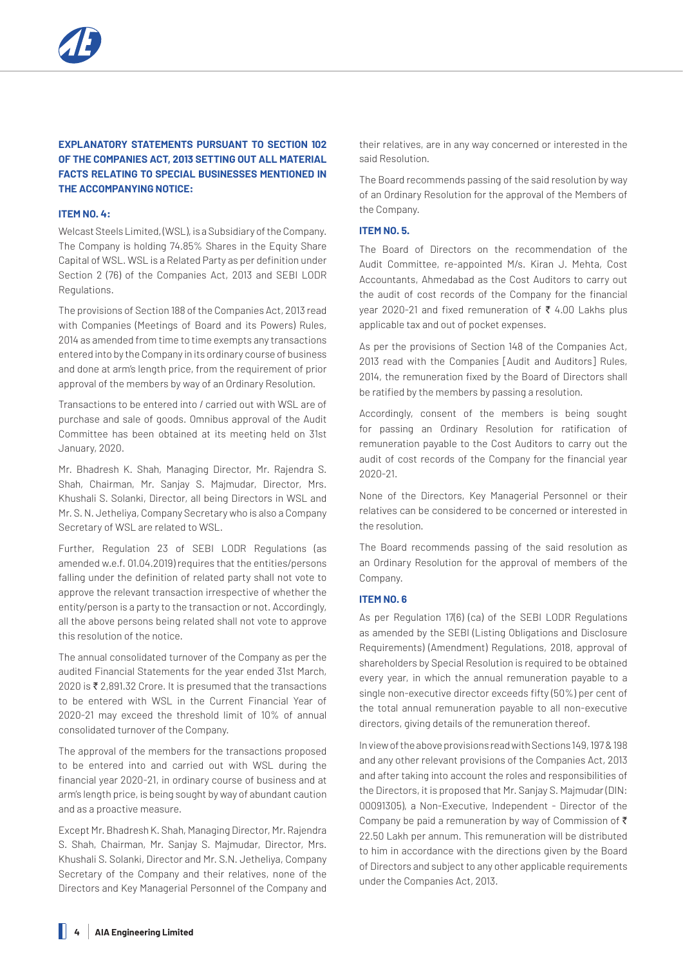## **EXPLANATORY STATEMENTS PURSUANT TO SECTION 102 OF THE COMPANIES ACT, 2013 SETTING OUT ALL MATERIAL FACTS RELATING TO SPECIAL BUSINESSES MENTIONED IN THE ACCOMPANYING NOTICE:**

## **ITEM NO. 4:**

Welcast Steels Limited, (WSL), is a Subsidiary of the Company. The Company is holding 74.85% Shares in the Equity Share Capital of WSL. WSL is a Related Party as per definition under Section 2 (76) of the Companies Act, 2013 and SEBI LODR Regulations.

The provisions of Section 188 of the Companies Act, 2013 read with Companies (Meetings of Board and its Powers) Rules, 2014 as amended from time to time exempts any transactions entered into by the Company in its ordinary course of business and done at arm's length price, from the requirement of prior approval of the members by way of an Ordinary Resolution.

Transactions to be entered into / carried out with WSL are of purchase and sale of goods. Omnibus approval of the Audit Committee has been obtained at its meeting held on 31st January, 2020.

Mr. Bhadresh K. Shah, Managing Director, Mr. Rajendra S. Shah, Chairman, Mr. Sanjay S. Majmudar, Director, Mrs. Khushali S. Solanki, Director, all being Directors in WSL and Mr. S. N. Jetheliya, Company Secretary who is also a Company Secretary of WSL are related to WSL.

Further, Regulation 23 of SEBI LODR Regulations (as amended w.e.f. 01.04.2019) requires that the entities/persons falling under the definition of related party shall not vote to approve the relevant transaction irrespective of whether the entity/person is a party to the transaction or not. Accordingly, all the above persons being related shall not vote to approve this resolution of the notice.

The annual consolidated turnover of the Company as per the audited Financial Statements for the year ended 31st March,  $2020$  is ₹ 2,891.32 Crore. It is presumed that the transactions to be entered with WSL in the Current Financial Year of 2020-21 may exceed the threshold limit of 10% of annual consolidated turnover of the Company.

The approval of the members for the transactions proposed to be entered into and carried out with WSL during the financial year 2020-21, in ordinary course of business and at arm's length price, is being sought by way of abundant caution and as a proactive measure.

Except Mr. Bhadresh K. Shah, Managing Director, Mr. Rajendra S. Shah, Chairman, Mr. Sanjay S. Majmudar, Director, Mrs. Khushali S. Solanki, Director and Mr. S.N. Jetheliya, Company Secretary of the Company and their relatives, none of the Directors and Key Managerial Personnel of the Company and

their relatives, are in any way concerned or interested in the said Resolution.

The Board recommends passing of the said resolution by way of an Ordinary Resolution for the approval of the Members of the Company.

## **ITEM NO. 5.**

The Board of Directors on the recommendation of the Audit Committee, re-appointed M/s. Kiran J. Mehta, Cost Accountants, Ahmedabad as the Cost Auditors to carry out the audit of cost records of the Company for the financial year 2020-21 and fixed remuneration of  $\bar{\tau}$  4.00 Lakhs plus applicable tax and out of pocket expenses.

As per the provisions of Section 148 of the Companies Act, 2013 read with the Companies [Audit and Auditors] Rules, 2014, the remuneration fixed by the Board of Directors shall be ratified by the members by passing a resolution.

Accordingly, consent of the members is being sought for passing an Ordinary Resolution for ratification of remuneration payable to the Cost Auditors to carry out the audit of cost records of the Company for the financial year 2020-21.

None of the Directors, Key Managerial Personnel or their relatives can be considered to be concerned or interested in the resolution.

The Board recommends passing of the said resolution as an Ordinary Resolution for the approval of members of the Company.

## **ITEM NO. 6**

As per Regulation 17(6) (ca) of the SEBI LODR Regulations as amended by the SEBI (Listing Obligations and Disclosure Requirements) (Amendment) Regulations, 2018, approval of shareholders by Special Resolution is required to be obtained every year, in which the annual remuneration payable to a single non-executive director exceeds fifty (50%) per cent of the total annual remuneration payable to all non-executive directors, giving details of the remuneration thereof.

In view of the above provisions read with Sections 149, 197 & 198 and any other relevant provisions of the Companies Act, 2013 and after taking into account the roles and responsibilities of the Directors, it is proposed that Mr. Sanjay S. Majmudar (DIN: 00091305), a Non-Executive, Independent - Director of the Company be paid a remuneration by way of Commission of  $\bar{\tau}$ 22.50 Lakh per annum. This remuneration will be distributed to him in accordance with the directions given by the Board of Directors and subject to any other applicable requirements under the Companies Act, 2013.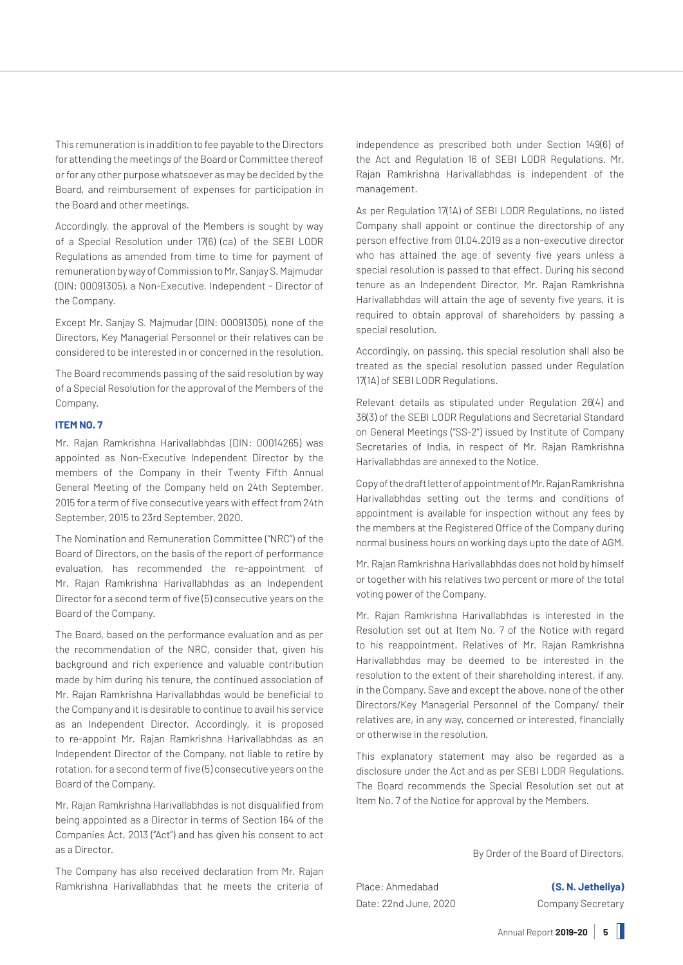This remuneration is in addition to fee payable to the Directors for attending the meetings of the Board or Committee thereof or for any other purpose whatsoever as may be decided by the Board, and reimbursement of expenses for participation in the Board and other meetings.

Accordingly, the approval of the Members is sought by way of a Special Resolution under 17(6) (ca) of the SEBI LODR Regulations as amended from time to time for payment of remuneration by way of Commission to Mr. Sanjay S. Majmudar (DIN: 00091305), a Non-Executive, Independent - Director of the Company.

Except Mr. Sanjay S. Majmudar (DIN: 00091305), none of the Directors, Key Managerial Personnel or their relatives can be considered to be interested in or concerned in the resolution.

The Board recommends passing of the said resolution by way of a Special Resolution for the approval of the Members of the Company.

## **ITEM NO. 7**

Mr. Rajan Ramkrishna Harivallabhdas (DIN: 00014265) was appointed as Non-Executive Independent Director by the members of the Company in their Twenty Fifth Annual General Meeting of the Company held on 24th September, 2015 for a term of five consecutive years with effect from 24th September, 2015 to 23rd September, 2020.

The Nomination and Remuneration Committee ("NRC") of the Board of Directors, on the basis of the report of performance evaluation, has recommended the re-appointment of Mr. Rajan Ramkrishna Harivallabhdas as an Independent Director for a second term of five (5) consecutive years on the Board of the Company.

The Board, based on the performance evaluation and as per the recommendation of the NRC, consider that, given his background and rich experience and valuable contribution made by him during his tenure, the continued association of Mr. Rajan Ramkrishna Harivallabhdas would be beneficial to the Company and it is desirable to continue to avail his service as an Independent Director. Accordingly, it is proposed to re-appoint Mr. Rajan Ramkrishna Harivallabhdas as an Independent Director of the Company, not liable to retire by rotation, for a second term of five (5) consecutive years on the Board of the Company.

Mr. Rajan Ramkrishna Harivallabhdas is not disqualified from being appointed as a Director in terms of Section 164 of the Companies Act, 2013 ("Act") and has given his consent to act as a Director.

The Company has also received declaration from Mr. Rajan Ramkrishna Harivallabhdas that he meets the criteria of independence as prescribed both under Section 149(6) of the Act and Regulation 16 of SEBI LODR Regulations. Mr. Rajan Ramkrishna Harivallabhdas is independent of the management.

As per Regulation 17(1A) of SEBI LODR Regulations, no listed Company shall appoint or continue the directorship of any person effective from 01.04.2019 as a non-executive director who has attained the age of seventy five years unless a special resolution is passed to that effect. During his second tenure as an Independent Director, Mr. Rajan Ramkrishna Harivallabhdas will attain the age of seventy five years, it is required to obtain approval of shareholders by passing a special resolution.

Accordingly, on passing, this special resolution shall also be treated as the special resolution passed under Regulation 17(1A) of SEBI LODR Regulations.

Relevant details as stipulated under Regulation 26(4) and 36(3) of the SEBI LODR Regulations and Secretarial Standard on General Meetings ("SS-2") issued by Institute of Company Secretaries of India, in respect of Mr. Rajan Ramkrishna Harivallabhdas are annexed to the Notice.

Copy of the draft letter of appointment of Mr. Rajan Ramkrishna Harivallabhdas setting out the terms and conditions of appointment is available for inspection without any fees by the members at the Registered Office of the Company during normal business hours on working days upto the date of AGM.

Mr. Rajan Ramkrishna Harivallabhdas does not hold by himself or together with his relatives two percent or more of the total voting power of the Company.

Mr. Rajan Ramkrishna Harivallabhdas is interested in the Resolution set out at Item No. 7 of the Notice with regard to his reappointment. Relatives of Mr. Rajan Ramkrishna Harivallabhdas may be deemed to be interested in the resolution to the extent of their shareholding interest, if any, in the Company. Save and except the above, none of the other Directors/Key Managerial Personnel of the Company/ their relatives are, in any way, concerned or interested, financially or otherwise in the resolution.

This explanatory statement may also be regarded as a disclosure under the Act and as per SEBI LODR Regulations. The Board recommends the Special Resolution set out at Item No. 7 of the Notice for approval by the Members.

By Order of the Board of Directors,

Place: Ahmedabad **(S. N. Jetheliya)** Date: 22nd June, 2020 Company Secretary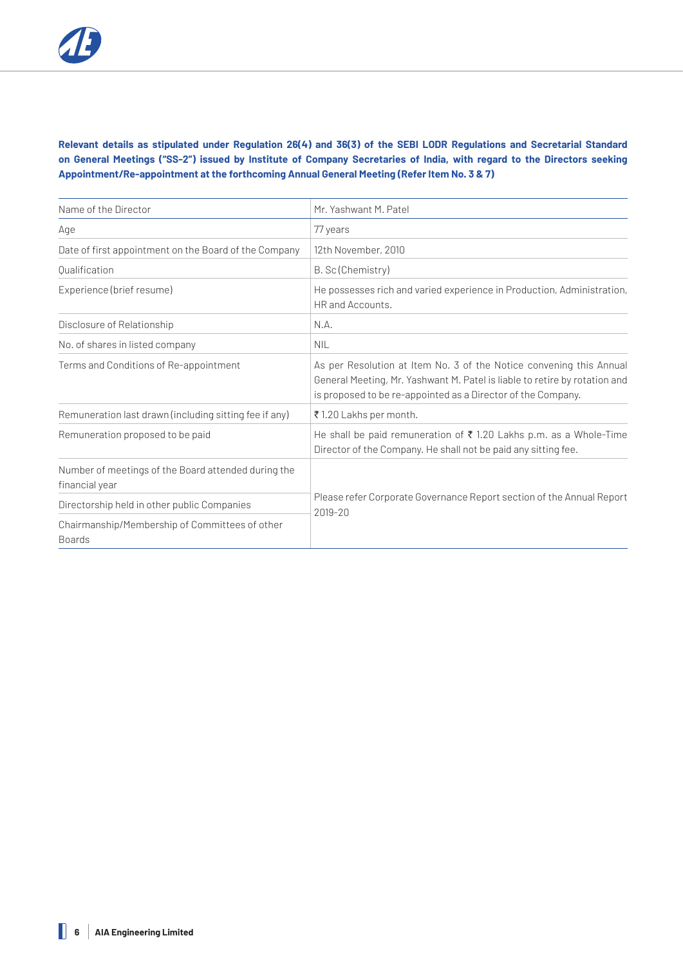## **Relevant details as stipulated under Regulation 26(4) and 36(3) of the SEBI LODR Regulations and Secretarial Standard on General Meetings ("SS-2") issued by Institute of Company Secretaries of India, with regard to the Directors seeking Appointment/Re-appointment at the forthcoming Annual General Meeting (Refer Item No. 3 & 7)**

| Name of the Director                                                  | Mr. Yashwant M. Patel                                                                                                                                                                                             |  |
|-----------------------------------------------------------------------|-------------------------------------------------------------------------------------------------------------------------------------------------------------------------------------------------------------------|--|
| Age                                                                   | 77 years                                                                                                                                                                                                          |  |
| Date of first appointment on the Board of the Company                 | 12th November, 2010                                                                                                                                                                                               |  |
| Qualification                                                         | B. Sc (Chemistry)                                                                                                                                                                                                 |  |
| Experience (brief resume)                                             | He possesses rich and varied experience in Production, Administration,<br>HR and Accounts.                                                                                                                        |  |
| Disclosure of Relationship                                            | N.A.                                                                                                                                                                                                              |  |
| No. of shares in listed company                                       | <b>NIL</b>                                                                                                                                                                                                        |  |
| Terms and Conditions of Re-appointment                                | As per Resolution at Item No. 3 of the Notice convening this Annual<br>General Meeting, Mr. Yashwant M. Patel is liable to retire by rotation and<br>is proposed to be re-appointed as a Director of the Company. |  |
| Remuneration last drawn (including sitting fee if any)                | ₹1.20 Lakhs per month.                                                                                                                                                                                            |  |
| Remuneration proposed to be paid                                      | He shall be paid remuneration of ₹1.20 Lakhs p.m. as a Whole-Time<br>Director of the Company. He shall not be paid any sitting fee.                                                                               |  |
| Number of meetings of the Board attended during the<br>financial year | Please refer Corporate Governance Report section of the Annual Report<br>2019-20                                                                                                                                  |  |
| Directorship held in other public Companies                           |                                                                                                                                                                                                                   |  |
| Chairmanship/Membership of Committees of other<br><b>Boards</b>       |                                                                                                                                                                                                                   |  |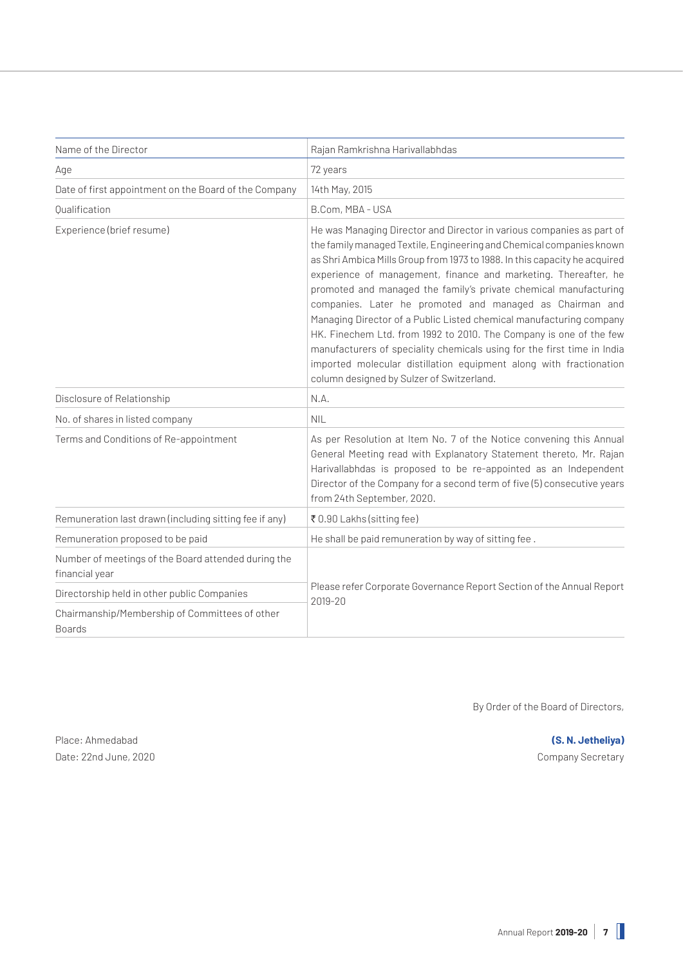| Name of the Director                                                  | Rajan Ramkrishna Harivallabhdas                                                                                                                                                                                                                                                                                                                                                                                                                                                                                                                                                                                                                                                                                                                                           |  |
|-----------------------------------------------------------------------|---------------------------------------------------------------------------------------------------------------------------------------------------------------------------------------------------------------------------------------------------------------------------------------------------------------------------------------------------------------------------------------------------------------------------------------------------------------------------------------------------------------------------------------------------------------------------------------------------------------------------------------------------------------------------------------------------------------------------------------------------------------------------|--|
| Age                                                                   | 72 years                                                                                                                                                                                                                                                                                                                                                                                                                                                                                                                                                                                                                                                                                                                                                                  |  |
| Date of first appointment on the Board of the Company                 | 14th May, 2015                                                                                                                                                                                                                                                                                                                                                                                                                                                                                                                                                                                                                                                                                                                                                            |  |
| Oualification                                                         | B.Com, MBA - USA                                                                                                                                                                                                                                                                                                                                                                                                                                                                                                                                                                                                                                                                                                                                                          |  |
| Experience (brief resume)                                             | He was Managing Director and Director in various companies as part of<br>the family managed Textile, Engineering and Chemical companies known<br>as Shri Ambica Mills Group from 1973 to 1988. In this capacity he acquired<br>experience of management, finance and marketing. Thereafter, he<br>promoted and managed the family's private chemical manufacturing<br>companies. Later he promoted and managed as Chairman and<br>Managing Director of a Public Listed chemical manufacturing company<br>HK. Finechem Ltd. from 1992 to 2010. The Company is one of the few<br>manufacturers of speciality chemicals using for the first time in India<br>imported molecular distillation equipment along with fractionation<br>column designed by Sulzer of Switzerland. |  |
| Disclosure of Relationship                                            | N.A.                                                                                                                                                                                                                                                                                                                                                                                                                                                                                                                                                                                                                                                                                                                                                                      |  |
| No. of shares in listed company                                       | <b>NIL</b>                                                                                                                                                                                                                                                                                                                                                                                                                                                                                                                                                                                                                                                                                                                                                                |  |
| Terms and Conditions of Re-appointment                                | As per Resolution at Item No. 7 of the Notice convening this Annual<br>General Meeting read with Explanatory Statement thereto, Mr. Rajan<br>Harivallabhdas is proposed to be re-appointed as an Independent<br>Director of the Company for a second term of five (5) consecutive years<br>from 24th September, 2020.                                                                                                                                                                                                                                                                                                                                                                                                                                                     |  |
| Remuneration last drawn (including sitting fee if any)                | ₹ 0.90 Lakhs (sitting fee)                                                                                                                                                                                                                                                                                                                                                                                                                                                                                                                                                                                                                                                                                                                                                |  |
| Remuneration proposed to be paid                                      | He shall be paid remuneration by way of sitting fee.                                                                                                                                                                                                                                                                                                                                                                                                                                                                                                                                                                                                                                                                                                                      |  |
| Number of meetings of the Board attended during the<br>financial year | Please refer Corporate Governance Report Section of the Annual Report<br>2019-20                                                                                                                                                                                                                                                                                                                                                                                                                                                                                                                                                                                                                                                                                          |  |
| Directorship held in other public Companies                           |                                                                                                                                                                                                                                                                                                                                                                                                                                                                                                                                                                                                                                                                                                                                                                           |  |
| Chairmanship/Membership of Committees of other<br><b>Boards</b>       |                                                                                                                                                                                                                                                                                                                                                                                                                                                                                                                                                                                                                                                                                                                                                                           |  |

By Order of the Board of Directors,

Place: Ahmedabad **(S. N. Jetheliya)** Date: 22nd June, 2020 **Company Secretary**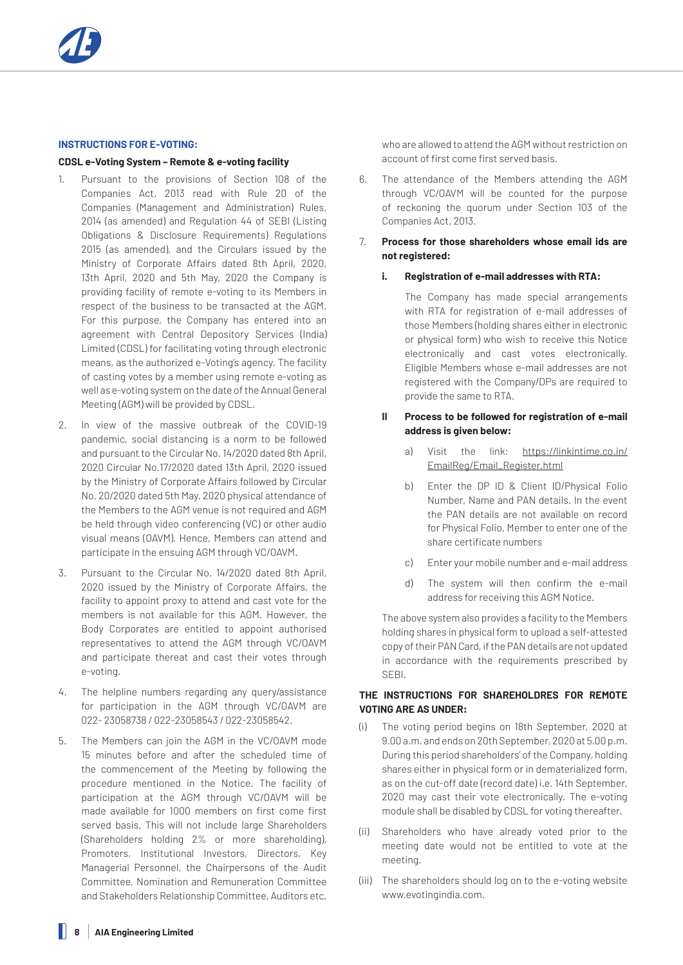## **INSTRUCTIONS FOR E-VOTING:**

#### **CDSL e-Voting System – Remote & e-voting facility**

- 1. Pursuant to the provisions of Section 108 of the Companies Act, 2013 read with Rule 20 of the Companies (Management and Administration) Rules, 2014 (as amended) and Regulation 44 of SEBI (Listing Obligations & Disclosure Requirements) Regulations 2015 (as amended), and the Circulars issued by the Ministry of Corporate Affairs dated 8th April, 2020, 13th April, 2020 and 5th May, 2020 the Company is providing facility of remote e-voting to its Members in respect of the business to be transacted at the AGM. For this purpose, the Company has entered into an agreement with Central Depository Services (India) Limited (CDSL) for facilitating voting through electronic means, as the authorized e-Voting's agency. The facility of casting votes by a member using remote e-voting as well as e-voting system on the date of the Annual General Meeting (AGM) will be provided by CDSL.
- 2. In view of the massive outbreak of the COVID-19 pandemic, social distancing is a norm to be followed and pursuant to the Circular No. 14/2020 dated 8th April, 2020 Circular No.17/2020 dated 13th April, 2020 issued by the Ministry of Corporate Affairs followed by Circular No. 20/2020 dated 5th May, 2020 physical attendance of the Members to the AGM venue is not required and AGM be held through video conferencing (VC) or other audio visual means (OAVM). Hence, Members can attend and participate in the ensuing AGM through VC/OAVM.
- 3. Pursuant to the Circular No. 14/2020 dated 8th April, 2020 issued by the Ministry of Corporate Affairs, the facility to appoint proxy to attend and cast vote for the members is not available for this AGM. However, the Body Corporates are entitled to appoint authorised representatives to attend the AGM through VC/OAVM and participate thereat and cast their votes through e-voting.
- 4. The helpline numbers regarding any query/assistance for participation in the AGM through VC/OAVM are 022- 23058738 / 022-23058543 / 022-23058542.
- 5. The Members can join the AGM in the VC/OAVM mode 15 minutes before and after the scheduled time of the commencement of the Meeting by following the procedure mentioned in the Notice. The facility of participation at the AGM through VC/OAVM will be made available for 1000 members on first come first served basis. This will not include large Shareholders (Shareholders holding 2% or more shareholding), Promoters, Institutional Investors, Directors, Key Managerial Personnel, the Chairpersons of the Audit Committee, Nomination and Remuneration Committee and Stakeholders Relationship Committee, Auditors etc.

who are allowed to attend the AGM without restriction on account of first come first served basis.

6. The attendance of the Members attending the AGM through VC/OAVM will be counted for the purpose of reckoning the quorum under Section 103 of the Companies Act, 2013.

## 7. **Process for those shareholders whose email ids are not registered:**

## **i. Registration of e-mail addresses with RTA:**

 The Company has made special arrangements with RTA for registration of e-mail addresses of those Members (holding shares either in electronic or physical form) who wish to receive this Notice electronically and cast votes electronically. Eligible Members whose e-mail addresses are not registered with the Company/DPs are required to provide the same to RTA.

## **II Process to be followed for registration of e-mail address is given below:**

- a) Visit the link: https://linkintime.co.in/ EmailReg/Email\_Register.html
- b) Enter the DP ID & Client ID/Physical Folio Number, Name and PAN details. In the event the PAN details are not available on record for Physical Folio, Member to enter one of the share certificate numbers
- c) Enter your mobile number and e-mail address
- d) The system will then confirm the e-mail address for receiving this AGM Notice.

The above system also provides a facility to the Members holding shares in physical form to upload a self-attested copy of their PAN Card, if the PAN details are not updated in accordance with the requirements prescribed by SEBI.

## **THE INSTRUCTIONS FOR SHAREHOLDRES FOR REMOTE VOTING ARE AS UNDER:**

- (i) The voting period begins on 18th September, 2020 at 9.00 a.m. and ends on 20th September, 2020 at 5.00 p.m. During this period shareholders' of the Company, holding shares either in physical form or in dematerialized form, as on the cut-off date (record date) i.e. 14th September, 2020 may cast their vote electronically. The e-voting module shall be disabled by CDSL for voting thereafter.
- (ii) Shareholders who have already voted prior to the meeting date would not be entitled to vote at the meeting.
- (iii) The shareholders should log on to the e-voting website www.evotingindia.com.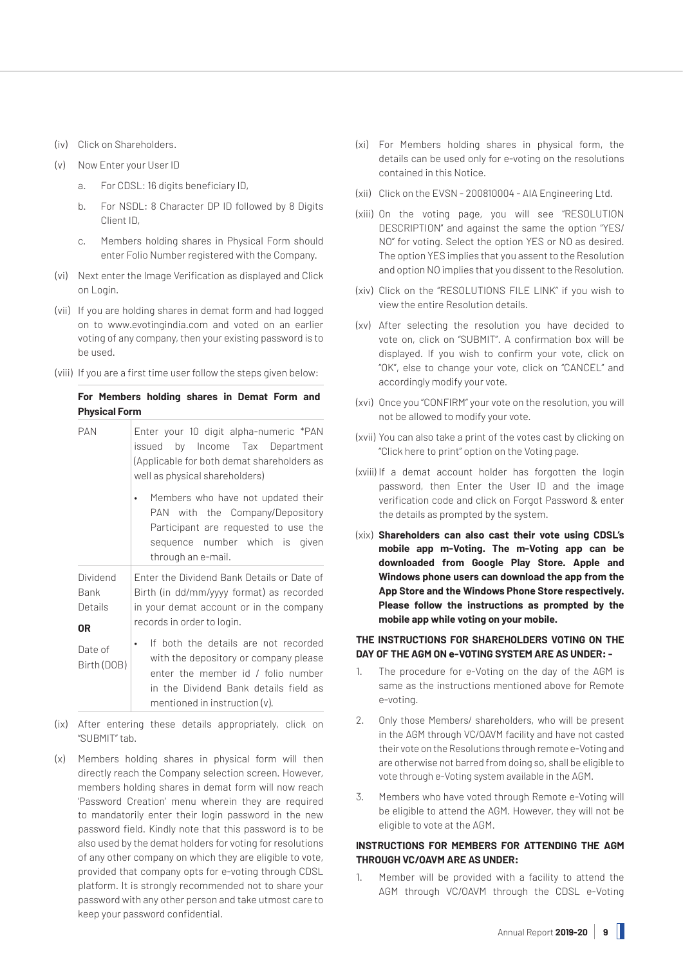- (iv) Click on Shareholders.
- (v) Now Enter your User ID
	- a. For CDSL: 16 digits beneficiary ID,
	- b. For NSDL: 8 Character DP ID followed by 8 Digits Client ID,
	- c. Members holding shares in Physical Form should enter Folio Number registered with the Company.
- (vi) Next enter the Image Verification as displayed and Click on Login.
- (vii) If you are holding shares in demat form and had logged on to www.evotingindia.com and voted on an earlier voting of any company, then your existing password is to be used.
- (viii) If you are a first time user follow the steps given below:

| For Members holding shares in Demat Form and |  |  |  |
|----------------------------------------------|--|--|--|
| <b>Physical Form</b>                         |  |  |  |

| <b>PAN</b>                        | Enter your 10 digit alpha-numeric *PAN<br>issued by Income Tax Department<br>(Applicable for both demat shareholders as<br>well as physical shareholders)                                        |  |
|-----------------------------------|--------------------------------------------------------------------------------------------------------------------------------------------------------------------------------------------------|--|
|                                   | Members who have not updated their<br>PAN with the Company/Depository<br>Participant are requested to use the<br>sequence number which is given<br>through an e-mail.                            |  |
| Dividend<br>Bank<br>Details<br>0R | Enter the Dividend Bank Details or Date of<br>Birth (in dd/mm/yyyy format) as recorded<br>in your demat account or in the company<br>records in order to login.                                  |  |
| Date of<br>Birth (DOB)            | If both the details are not recorded<br>with the depository or company please<br>enter the member id / folio number<br>in the Dividend Bank details field as<br>mentioned in instruction $(v)$ . |  |

- (ix) After entering these details appropriately, click on "SUBMIT" tab.
- (x) Members holding shares in physical form will then directly reach the Company selection screen. However, members holding shares in demat form will now reach 'Password Creation' menu wherein they are required to mandatorily enter their login password in the new password field. Kindly note that this password is to be also used by the demat holders for voting for resolutions of any other company on which they are eligible to vote, provided that company opts for e-voting through CDSL platform. It is strongly recommended not to share your password with any other person and take utmost care to keep your password confidential.
- (xi) For Members holding shares in physical form, the details can be used only for e-voting on the resolutions contained in this Notice.
- (xii) Click on the EVSN 200810004 AIA Engineering Ltd.
- (xiii) On the voting page, you will see "RESOLUTION DESCRIPTION" and against the same the option "YES/ NO" for voting. Select the option YES or NO as desired. The option YES implies that you assent to the Resolution and option NO implies that you dissent to the Resolution.
- (xiv) Click on the "RESOLUTIONS FILE LINK" if you wish to view the entire Resolution details.
- (xv) After selecting the resolution you have decided to vote on, click on "SUBMIT". A confirmation box will be displayed. If you wish to confirm your vote, click on "OK", else to change your vote, click on "CANCEL" and accordingly modify your vote.
- (xvi) Once you "CONFIRM" your vote on the resolution, you will not be allowed to modify your vote.
- (xvii) You can also take a print of the votes cast by clicking on "Click here to print" option on the Voting page.
- (xviii) If a demat account holder has forgotten the login password, then Enter the User ID and the image verification code and click on Forgot Password & enter the details as prompted by the system.
- (xix) **Shareholders can also cast their vote using CDSL's mobile app m-Voting. The m-Voting app can be downloaded from Google Play Store. Apple and Windows phone users can download the app from the App Store and the Windows Phone Store respectively. Please follow the instructions as prompted by the mobile app while voting on your mobile.**

## **THE INSTRUCTIONS FOR SHAREHOLDERS VOTING ON THE DAY OF THE AGM ON e-VOTING SYSTEM ARE AS UNDER: -**

- 1. The procedure for e-Voting on the day of the AGM is same as the instructions mentioned above for Remote e-voting.
- 2. Only those Members/ shareholders, who will be present in the AGM through VC/OAVM facility and have not casted their vote on the Resolutions through remote e-Voting and are otherwise not barred from doing so, shall be eligible to vote through e-Voting system available in the AGM.
- 3. Members who have voted through Remote e-Voting will be eligible to attend the AGM. However, they will not be eligible to vote at the AGM.

## **INSTRUCTIONS FOR MEMBERS FOR ATTENDING THE AGM THROUGH VC/OAVM ARE AS UNDER:**

1. Member will be provided with a facility to attend the AGM through VC/OAVM through the CDSL e-Voting